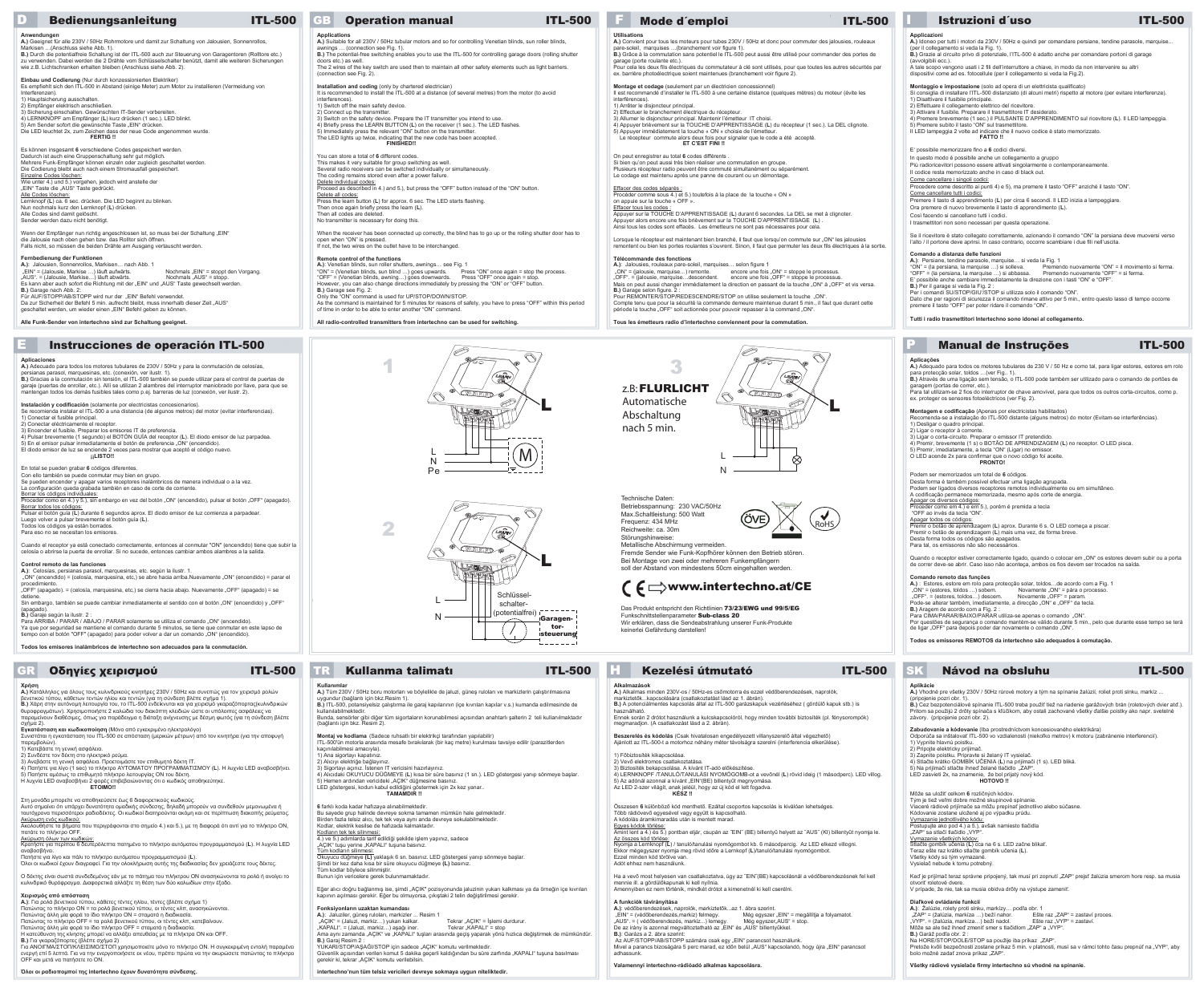## GR Οδηγίες χειρισμού ITL-500 TR Kullanma talimatı ITL-500 H Kezelési útmutató ITL-500

### $E$  Instrucciones de operación ITL-500

# **Utilisations A.)** Convient pour tous les moteurs pour tubes 230V / 50Hz et donc pour commuter des jalousies, rouleaux pare-soleil, marquises …(branchement voir figure 1).<br>**B.)** Grâce à la commutation sans potentiel le ITL-500 peut aussi être utilisé pour commander des portes de<br>garage (porte roulante etc.).<br>Pour cela les deux fils électr

- ..............<br>nterférences). menerences, et al.<br>1) Arrêter le disjoncteur principal.
- 2) Effectuer le branchement électrique du récepteur.
- 

## **FINISHED !!**

### **Remote control of the functions**

### On peut enregistrer au total **6** codes différents .

### **Télécommande des fonctions**

# Se pueden encender y apagar varios receptores inalámbricos de manera individual o a la vez.<br>La configuración queda grabada también en caso de corte de corriente.

### **Control remoto de las funciones**

| <b>ITL-500</b><br><b>Bedienungsanleitung</b>                                                                                                                                                                                                                                                                                                                                                                                                                                                                                                                                                                                                                  | <b>ITL-500</b><br><b>Operation manual</b>                                                                                                                                                                                                                                                                                                                                                                                                                                                                                                                                                                                                                             | Mode d'emploi<br><b>ITL-500</b>                                                                                                                                                                                                                                                                                                                                                                                                                                                                                                                                                                                                                                   | <b>ITL-500</b><br>Istruzioni d'uso                                                                                                                                                                                                                                                                                                                                                                                                                                                                                                                                                                                                   |
|---------------------------------------------------------------------------------------------------------------------------------------------------------------------------------------------------------------------------------------------------------------------------------------------------------------------------------------------------------------------------------------------------------------------------------------------------------------------------------------------------------------------------------------------------------------------------------------------------------------------------------------------------------------|-----------------------------------------------------------------------------------------------------------------------------------------------------------------------------------------------------------------------------------------------------------------------------------------------------------------------------------------------------------------------------------------------------------------------------------------------------------------------------------------------------------------------------------------------------------------------------------------------------------------------------------------------------------------------|-------------------------------------------------------------------------------------------------------------------------------------------------------------------------------------------------------------------------------------------------------------------------------------------------------------------------------------------------------------------------------------------------------------------------------------------------------------------------------------------------------------------------------------------------------------------------------------------------------------------------------------------------------------------|--------------------------------------------------------------------------------------------------------------------------------------------------------------------------------------------------------------------------------------------------------------------------------------------------------------------------------------------------------------------------------------------------------------------------------------------------------------------------------------------------------------------------------------------------------------------------------------------------------------------------------------|
| A.) Geeignet für alle 230V / 50Hz Rohrmotore und damit zur Schaltung von Jalousien, Sonnenrollos,<br>Markisen  (Anschluss siehe Abb. 1).<br>B.) Durch die potentialfreie Schaltung ist der ITL-500 auch zur Steuerung von Garagentoren (Rolltore etc.)<br>zu verwenden. Dabei werden die 2 Drähte vom Schlüsselschalter benützt, damit alle weiteren Sicherungen<br>wie z.B. Lichtschranken erhalten bleiben (Anschluss siehe Abb. 2).                                                                                                                                                                                                                        | <b>Applications</b><br>A.) Suitable for all 230V / 50Hz tubular motors and so for controlling Venetian blinds, sun roller blinds,<br>awnings  (connection see Fig. 1).<br>B.) The potential-free switching enables you to use the ITL-500 for controlling garage doors (rolling shutter<br>doors etc.) as well.<br>The 2 wires of the key switch are used then to maintain all other safety elements such as light barriers.<br>(connection see Fig. 2).                                                                                                                                                                                                              | <b>Utilisations</b><br>A.) Convient pour tous les moteurs pour tubes 230V / 50Hz et donc pour commuter des jalousies, rouleaux<br>pare-soleil, marquises  (branchement voir figure 1).<br>B.) Grâce à la commutation sans potentiel le ITL-500 peut aussi être utilisé pour commander des portes de<br>garage (porte roulante etc.)<br>Pour cela les deux fils électriques du commutateur à clé sont utilisés, pour que toutes les autres sécurités par<br>ex. barrière photoélectrique soient maintenues (branchement voir figure 2).                                                                                                                            | Applicazioni<br>A.) Idoneo per tutti i motori da 230V / 50Hz e quindi per comandare persiane, tendine parasole, marquise<br>(per il collegamento si veda la Fig. 1).<br>B.) Grazie al circuito privo di potenziale, l'ITL-500 è adatto anche per comandare portoni di garage<br>(avvolgibili ecc.)<br>A tale scopo vengono usati i 2 fili dell'interruttore a chiave, in modo da non intervenire su altri<br>dispositivi come ad es. fotocellule (per il collegamento si veda la Fig.2).                                                                                                                                             |
| Einbau und Codierung (Nur durch konzessionierten Elektriker)<br>Es empfiehlt sich den ITL-500 in Abstand (einige Meter) zum Motor zu installieren (Vermeidung von<br>Interferenzen).<br>1) Hauptsicherung ausschalten.<br>2) Empfänger elektrisch anschließen.<br>3) Sicherung einschalten. Gewünschten IT-Sender vorbereiten.<br>4) LERNKNOPF am Empfänger (L) kurz drücken (1 sec.). LED blinkt.<br>5) Am Sender sofort die gewünschte Taste "EIN" drücken.<br>Die LED leuchtet 2x, zum Zeichen dass der neue Code angenommen wurde.<br><b>FERTIG!!</b>                                                                                                     | Installation and coding (only by chartered electrician)<br>It is recommended to install the ITL-500 at a distance (of several metres) from the motor (to avoid<br>interferences).<br>1) Switch off the main safety device.<br>2) Connect up the transmitter<br>3) Switch on the safety device. Prepare the IT transmitter you intend to use.<br>4) Briefly press the LEARN BUTTON (L) on the receiver (1 sec.). The LED flashes.<br>5) Immediately press the relevant "ON" button on the transmitter.<br>The LED lights up twice, indicating that the new code has been accepted.<br><b>FINISHED!!</b>                                                                | Montage et codage (seulement par un électricien concessionnel)<br>Il est recommandé d'installer le ITL-500 à une certaine distance (quelques mètres) du moteur (évite les<br>interférences).<br>1) Arrêter le disjoncteur principal.<br>2) Effectuer le branchement électrique du récepteur<br>3) Allumer le disjoncteur principal. Maintenir l'émetteur IT choisi.<br>4) Appuyer brièvement sur la TOUCHE D'APPRENTISSAGE (L) du récepteur (1 sec.). La DEL clignote.<br>5) Appuyer immédiatement la touche « ON » choisie de l'émetteur.<br>Le récepteur commute alors deux fois pour signaler que le code a été accepté.<br>ET C'EST FINI !!                   | Montaggio e impostazione (solo ad opera di un elettricista qualificato)<br>Si consiglia di installare l'ITL-500 distanziato (di alcuni metri) rispetto al motore (per evitare interferenze).<br>1) Disattivare il fusibile principale.<br>2) Effettuare il collegamento elettrico del ricevitore.<br>3) Attivare il fusibile. Preparare il trasmettitore IT desiderato.<br>4) Premere brevemente (1 sec.) il PULSANTE D'APPRENDIMENTO sul ricevitore (L). Il LED lampeggia.<br>5) Premere subito il tasto "ON" sul trasmettitore.<br>Il LED lampeggia 2 volte ad indicare che il nuovo codice è stato memorizzato.<br><b>FATTO!!</b> |
| Es können insgesamt 6 verschiedene Codes gespeichert werden.<br>Dadurch ist auch eine Gruppenschaltung sehr gut möglich.<br>Mehrere Funk-Empfänger können einzeln oder zugleich geschaltet werden.<br>Die Codierung bleibt auch nach einem Stromausfall gespeichert.<br>Einzelne Codes löschen:<br>Wie unter 4.) und 5.) vorgehen, jedoch wird anstelle der<br>"EIN" Taste die "AUS" Taste gedrückt.                                                                                                                                                                                                                                                          | You can store a total of 6 different codes<br>This makes it very suitable for group switching as well.<br>Several radio receivers can be switched individually or simultaneously.<br>The coding remains stored even after a power failure.<br>Delete individual codes<br>Proceed as described in 4.) and 5.), but press the "OFF" button instead of the "ON" button.                                                                                                                                                                                                                                                                                                  | On peut enregistrer au total 6 codes différents.<br>Si bien qu'on peut aussi très bien réaliser une commutation en groupe.<br>Plusieurs récepteur radio peuvent être commuté simultanément ou séparément.<br>Le codage est maintenu après une panne de courant ou un démontage.<br>Effacer des codes séparés                                                                                                                                                                                                                                                                                                                                                      | E' possibile memorizzare fino a 6 codici diversi.<br>In questo modo è possibile anche un collegamento a gruppo<br>Più radioricevitori possono essere attivati singolarmente o contemporaneamente<br>Il codice resta memorizzato anche in caso di black out.<br>Come cancellare i singoli codici:<br>Procedere come descritto ai punti 4) e 5), ma premere il tasto "OFF" anziché il tasto "ON".                                                                                                                                                                                                                                      |
| Alle Codes löschen:<br>Lernknopf (L) ca. 6 sec. drücken. Die LED beginnt zu blinken.<br>Nun nochmals kurz den Lernknopf (L) drücken.<br>Alle Codes sind damit gelöscht.<br>Sender werden dazu nicht benötigt.<br>Wenn der Empfänger nun richtig angeschlossen ist, so muss bei der Schaltung "EIN"                                                                                                                                                                                                                                                                                                                                                            | Delete all codes:<br>Press the learn button (L) for approx. 6 sec. The LED starts flashing.<br>Then once again briefly press the learn (L).<br>Then all codes are deleted.<br>No transmitter is necessary for doing this.<br>When the receiver has been connected up correctly, the blind has to go up or the rolling shutter door has to                                                                                                                                                                                                                                                                                                                             | Procéder comme sous 4.) et 5.) toutefois à la place de la touche « ON »<br>on appuie sur la touche « OFF ».<br><b>Effacer tous les codes</b><br>Appuyer sur la TOUCHE D'APPRENTISSAGE (L) durant 6 secondes. La DEL se met à clignoter.<br>Appuyer alors encore une fois brièvement sur la TOUCHE D'APPRENTISSAGE (L).<br>Ainsi tous les codes sont effacés. Les émetteurs ne sont pas nécessaires pour cela.                                                                                                                                                                                                                                                     | Come cancellare tutti i codici<br>Premere il tasto di apprendimento (L) per circa 6 secondi. Il LED inizia a lampeggiare.<br>Ora premere di nuovo brevemente il tasto di apprendimento (L).<br>Così facendo si cancellano tutti i codici.<br>I trasmettitori non sono necessari per questa operazione.                                                                                                                                                                                                                                                                                                                               |
| die Jalousie nach oben gehen bzw. das Rolltor sich öffnen.<br>Falls nicht, so müssen die beiden Drähte am Ausgang vertauscht werden.<br>Fernbedienung der Funktionen<br>A.): Jalousien, Sonnenrollos, Markisen nach Abb. 1                                                                                                                                                                                                                                                                                                                                                                                                                                    | open when "ON" is pressed.<br>If not, the two wires on the outlet have to be interchanged.<br>Remote control of the functions                                                                                                                                                                                                                                                                                                                                                                                                                                                                                                                                         | Lorsque le récepteur est maintenant bien branché, il faut que lorsqu'on commute sur "ON" les jalousies<br>remontent ou bien les portes roulantes s'ouvrent. Sinon, il faut que permuter les deux fils électriques à la sortie.<br>Télécommande des fonctions                                                                                                                                                                                                                                                                                                                                                                                                      | Se il ricevitore è stato collegato correttamente, azionando il comando "ON" la persiana deve muoversi verso<br>l'alto / il portone deve aprirsi. In caso contrario, occorre scambiare i due fili nell'uscita.<br>Comando a distanza delle funzioni<br>A.): Persiane, tendine parasole, marquise si veda la Fig. 1                                                                                                                                                                                                                                                                                                                    |
| "EIN" = (Jalousie, Markise ) läuft aufwärts.<br>Nochmals "EIN" = stoppt den Vorgang.<br>"AUS". = (Jalousie, Markise) läuft abwärts.<br>Nochmals "AUS" = stopp.<br>Es kann aber auch sofort die Richtung mit der "EIN" und "AUS" Taste gewechselt werden.<br><b>B.)</b> Garage nach Abb. 2:<br>Für AUF/STOPP/AB/STOPP wird nur der "EIN" Befehl verwendet.<br>Da zur Sicherheit der Befehl 5 min. aufrecht bleibt, muss innerhalb dieser Zeit "AUS"<br>geschaltet werden, um wieder einen "EIN" Befehl geben zu können.                                                                                                                                        | A.): Venetian blinds, sun roller shutters, awnings see Fig. 1<br>"ON" = (Venetian blinds, sun blind ) goes upwards. Press "ON" once again = stop the process.<br>"OFF" = (Venetian blinds, awning) goes downwards. Press "OFF" once again = stop.<br>However, you can also change directions immediately by pressing the "ON" or "OFF" button.<br>B.) Garage see Fig. 2:<br>Only the "ON" command is used for UP/STOP/DOWN/STOP.<br>As the command is maintained for 5 minutes for reasons of safety, you have to press "OFF" within this period<br>of time in order to be able to enter another "ON" command.                                                        | A.): Jalousies, rouleaux pare-soleil, marquises selon figure 1<br>"ON" = (jalousie, marquise) remonte.<br>encore une fois "ON" = stoppe le processus.<br>"OFF". = (jalousie, marquisedescendent. encore une fois "OFF" = stoppe le processus<br>Mais on peut aussi changer immédiatement la direction en passant de la touche "ON" à "OFF" et vis versa.<br>B.) Garage selon figure. 2 :<br>Pour REMONTER/STOP/REDESCENDRE/STOP on utilise seulement la touche "ON".<br>Compte tenu que pour la sécurité la commande demeure maintenue durant 5 min., il faut que durant cette<br>période la touche "OFF" soit actionnée pour pouvoir repasser à la command "ON". | "ON" = (la persiana, la marquise ) si solleva.<br>Premendo nuovamente "ON" = il movimento si ferma.<br>"OFF" = (la persiana, la marquise ) si abbassa.<br>Premendo nuovamente "OFF" = si ferma.<br>E' possibile anche cambiare immediatamente la direzione con i tasti "ON" e "OFF".<br><b>B.)</b> Per il garage si veda la Fig. 2<br>Per i comandi SU/STOP/GIU'/STOP si utilizza solo il comando "ON".<br>Dato che per ragioni di sicurezza il comando rimane attivo per 5 min., entro questo lasso di tempo occorre<br>premere il tasto "OFF" per poter ridare il comando "ON".                                                    |
| Alle Funk-Sender von intertechno sind zur Schaltung geeignet.                                                                                                                                                                                                                                                                                                                                                                                                                                                                                                                                                                                                 | All radio-controlled transmitters from intertechno can be used for switching.                                                                                                                                                                                                                                                                                                                                                                                                                                                                                                                                                                                         | Tous les émetteurs radio d'intertechno conviennent pour la commutation.                                                                                                                                                                                                                                                                                                                                                                                                                                                                                                                                                                                           | Tutti i radio trasmettitori Intertechno sono idonei al collegamento.                                                                                                                                                                                                                                                                                                                                                                                                                                                                                                                                                                 |
| Instrucciones de operación ITL-500                                                                                                                                                                                                                                                                                                                                                                                                                                                                                                                                                                                                                            |                                                                                                                                                                                                                                                                                                                                                                                                                                                                                                                                                                                                                                                                       |                                                                                                                                                                                                                                                                                                                                                                                                                                                                                                                                                                                                                                                                   | <b>ITL-500</b><br><b>Manual de Instruções</b>                                                                                                                                                                                                                                                                                                                                                                                                                                                                                                                                                                                        |
| Aplicaciones<br>A.) Adecuado para todos los motores tubulares de 230V / 50Hz y para la conmutación de celosías,<br>persianas parasol, marquesinas, etc. (conexión, ver ilustr. 1).<br>B.) Gracias a la conmutación sin tensión, el ITL-500 también se puede utilizar para el control de puertas de<br>garaje (puertas de enrollar, etc.). Allí se utilizan 2 alambres del interruptor maniobrado por llave, para que se<br>mantengan todos los demás fusibles tales como p.ej. barreras de luz (conexión, ver ilustr. 2).                                                                                                                                     | LEARN<br><b>CALAMAD</b>                                                                                                                                                                                                                                                                                                                                                                                                                                                                                                                                                                                                                                               | 2<br>LEARN<br><b>z.B: FLURLICHT</b><br><b>CALALO</b><br>$\bigwedge$                                                                                                                                                                                                                                                                                                                                                                                                                                                                                                                                                                                               | Aplicações<br>A.) Adequado para todos os motores tubulares de 230 V / 50 Hz e como tal, para ligar estores, estores em rolo<br>para protecção solar, toldos  (ver Fig. 1).<br>B.) Através de uma ligação sem tensão, o ITL-500 pode também ser utilizado para o comando de portões de<br>garagem (portas de correr, etc.).<br>Para tal utilizam-se 2 fios do interruptor de chave amovível, para que todos os outros corta-circuitos, como p.<br>ex. proteger os sensores fotoeléctricos (ver Fig. 2).                                                                                                                               |
| Instalación y codificación (solamente por electricistas concesionarios).<br>Se recomienda instalar el ITL-500 a una distancia (de algunos metros) del motor (evitar interferencias).<br>1) Conectar el fusible principal.<br>2) Conectar eléctricamente el receptor.<br>3) Encender el fusible. Preparar los emisores IT de preferencia.<br>4) Pulsar brevemente (1 segundo) el BOTÓN GUÍA del receptor (L). El diodo emisor de luz parpadea.                                                                                                                                                                                                                 | NLBOWSON<br>------                                                                                                                                                                                                                                                                                                                                                                                                                                                                                                                                                                                                                                                    | Automatische<br>NESCONSON<br>Abschaltung<br>nach 5 min.                                                                                                                                                                                                                                                                                                                                                                                                                                                                                                                                                                                                           | Montagem e codificação (Apenas por electricistas habilitados)<br>Recomenda-se a instalação do ITL-500 distante (alguns metros) do motor (Evitam-se interferências).<br>1) Desligar o quadro principal.<br>2) Ligar o receptor à corrente.<br>3) Ligar o corta-circuito. Preparar o emissor IT pretendido.                                                                                                                                                                                                                                                                                                                            |
| 5) En el emisor pulsar inmediatamente el botón de preferencia "ON" (encendido).<br>El diodo emisor de luz se enciende 2 veces para mostrar que aceptó el código nuevo.<br><b>iiLISTO!!</b><br>En total se pueden grabar 6 códigos diferentes                                                                                                                                                                                                                                                                                                                                                                                                                  |                                                                                                                                                                                                                                                                                                                                                                                                                                                                                                                                                                                                                                                                       |                                                                                                                                                                                                                                                                                                                                                                                                                                                                                                                                                                                                                                                                   | 4) Premir, brevemente (1 s) o BOTÃO DE APRENDIZAGEM (L) no receptor. O LED pisca.<br>5) Premir, imediatamente, a tecla "ON" (Ligar) no emissor.<br>O LED acende 2x para confirmar que o novo código foi aceite.<br><b>PRONTO!</b>                                                                                                                                                                                                                                                                                                                                                                                                    |
| Con ello también se puede conmutar muy bien en grupo.<br>Se pueden encender y apagar varios receptores inalámbricos de manera individual o a la vez.<br>La configuración queda grabada también en caso de corte de corriente.<br>Borrar los códigos individuales:<br>Proceder como en 4.) y 5.), sin embargo en vez del botón "ON" (encendido), pulsar el botón "OFF" (apagado).<br>Borrar todos los códigos:                                                                                                                                                                                                                                                 |                                                                                                                                                                                                                                                                                                                                                                                                                                                                                                                                                                                                                                                                       | Technische Daten:<br>Betriebsspannung: 230 VAC/50Hz                                                                                                                                                                                                                                                                                                                                                                                                                                                                                                                                                                                                               | Podem ser memorizados um total de 6 códigos.<br>Desta forma é também possível efectuar uma ligação agrupada.<br>Podem ser ligados diversos receptores remotos individualmente ou em simultâneo.<br>A codificação permanece memorizada, mesmo após corte de energia.<br>Apagar os diversos códigos:<br>Proceder como em 4.) e em 5.), porém é premida a tecla                                                                                                                                                                                                                                                                         |
| Pulsar el botón guía (L) durante 6 segundos aprox. El diodo emisor de luz comienza a parpadear<br>Luego volver a pulsar brevemente el botón guía (L).<br>Todos los códigos ya están borrados.<br>Para eso no se necesitan los emisores.<br>Cuando el receptor ya está conectado correctamente, entonces al conmutar "ON" (encendido) tiene que subir la                                                                                                                                                                                                                                                                                                       | $\mathbb{Q}$<br>LEARN                                                                                                                                                                                                                                                                                                                                                                                                                                                                                                                                                                                                                                                 | Max.Schaltleistung: 500 Watt<br>Frequenz: 434 MHz<br>Reichweite: ca. 30m<br>Störungshinweise:<br>Metallische Abschirmung vermeiden.                                                                                                                                                                                                                                                                                                                                                                                                                                                                                                                               | "OFF ao invés da tecla "ON".<br>Apagar todos os códigos:<br>Premir o botão de aprendizagem (L) aprox. Durante 6 s. O LED começa a piscar.<br>Premir o botão de aprendizagem (L) mais uma vez, de forma breve.<br>Desta forma todos os códigos são apagados.<br>Para tal, os emissores não são necessários.                                                                                                                                                                                                                                                                                                                           |
| celosía o abrirse la puerta de enrollar. Si no sucede, entonces cambiar ambos alambres a la salida.<br>Control remoto de las funciones<br>A.): Celosías, persianas parasol, marquesinas, etc. según la ilustr. 1.<br>"ON" (encendido) = (celosía, marquesina, etc,) se abre hacia arriba.Nuevamente "ON" (encendido) = parar el                                                                                                                                                                                                                                                                                                                               | <b>EXPLANATION</b><br>NEBOWBEN                                                                                                                                                                                                                                                                                                                                                                                                                                                                                                                                                                                                                                        | Fremde Sender wie Funk-Kopfhörer können den Betrieb stören.<br>Bei Montage von zwei oder mehreren Funkempfängern<br>soll der Abstand von mindestens 50cm eingehalten werden.                                                                                                                                                                                                                                                                                                                                                                                                                                                                                      | Quando o receptor estiver correctamente ligado, quando o colocar em "ON" os estores devem subir ou a porta<br>de correr deve-se abrir. Caso isso não aconteça, ambos os fios devem ser trocados na saída.<br>Comando remoto das funções                                                                                                                                                                                                                                                                                                                                                                                              |
| procedimiento.<br>"OFF" (apagado). = (celosía, marquesina, etc,) se cierra hacia abajo. Nuevamente "OFF" (apagado) = se<br>detiene.<br>"Sin embargo, también se puede cambiar inmediatamente el sentido con el botón "ON" (encendido) y "OFF<br>(apagado).                                                                                                                                                                                                                                                                                                                                                                                                    | Schlüssel-<br>schalter-<br>--------                                                                                                                                                                                                                                                                                                                                                                                                                                                                                                                                                                                                                                   | $\epsilon \Rightarrow$ www.intertechno.at/CE<br>Das Produkt entspricht den Richtlinien 73/23/EWG und 99/5/EG                                                                                                                                                                                                                                                                                                                                                                                                                                                                                                                                                      | A.): Estores, estore em rolo para protecção solar, toldosde acordo com a Fig. 1<br>"ON" = (estores, toldos ) sobem.<br>Novamente "ON" = pára o processo.<br>"OFF". = (estores, toldos) descem. Novamente "OFF" = param.<br>Pode-se alterar também, imediatamente, a direcção "ON" e "OFF" da tecla.<br>B.) Aragem de acordo com a Fig. 2:                                                                                                                                                                                                                                                                                            |
| <b>B.)</b> Garaje según la ilustr. 2 :<br>Para ARRIBA / PARAR / ABAJO / PARAR solamente se utiliza el comando "ON" (encendido).<br>Ya que por seguridad se mantiene el comando durante 5 minutos, se tiene que conmutar en este lapso de<br>tiempo con el botón "OFF" (apagado) para poder volver a dar un comando "ON" (encendido).                                                                                                                                                                                                                                                                                                                          | (potentialfrei) i<br><b>Garagen-</b><br>tor-<br><b>Isteuerung</b><br>--------                                                                                                                                                                                                                                                                                                                                                                                                                                                                                                                                                                                         | Funkschnittstellenparameter Sub-class 20<br>Wir erklären, dass die Sendeabstrahlung unserer Funk-Produkte<br>keinerlei Gefährdung darstellen!                                                                                                                                                                                                                                                                                                                                                                                                                                                                                                                     | Para CIMA/PARAR/BAIXO/PARAR utiliza-se apenas o comando "ON"<br>Por questões de segurança o comando mantém-se válido durante 5 min., pelo que durante esse tempo se terá<br>de ligar "OFF" para depois poder dar novamente o comando "ON".<br>Todos os emissores REMOTOS da intertechno são adequados à comutação.                                                                                                                                                                                                                                                                                                                   |
| Todos los emisores inalámbricos de intertechno son adecuados para la conmutación.<br><b>ITL-500</b><br>Οδηγίες χειρισμού<br>GI:                                                                                                                                                                                                                                                                                                                                                                                                                                                                                                                               | <b>Kullanma talimatı</b><br><b>ITL-500</b><br><b>TR</b>                                                                                                                                                                                                                                                                                                                                                                                                                                                                                                                                                                                                               | <b>ITL-500</b><br><b>G</b><br>Kezelési útmutató                                                                                                                                                                                                                                                                                                                                                                                                                                                                                                                                                                                                                   | Návod na obsluhu<br><b>ITL-500</b>                                                                                                                                                                                                                                                                                                                                                                                                                                                                                                                                                                                                   |
| A.) Κατάλληλος για όλους τους κυλινδρικούς κινητήρες 230V / 50Hz και συνεπώς για τον χειρισμό ρολών<br>βενετικού τύπου, κάθετων τεντών ηλίου και τεντών (για τη σύνδεση βλέπε σχήμα 1).                                                                                                                                                                                                                                                                                                                                                                                                                                                                       | Kullanımlar<br>A.) Tüm 230V / 50Hz boru motorları ve böylelikle de jaluzi, güneş ruloları ve markizlerin çalıştırılmasına<br>uygundur (bağlantı için bkz.Resim 1).                                                                                                                                                                                                                                                                                                                                                                                                                                                                                                    | Alkalmazások<br>A.) Alkalmas minden 230V-os / 50Hz-es csőmotorra és ezzel védőberendezések, naprolók,<br>markiztetőkkapcsolására (csatlakoztatást lásd az 1. ábrán).                                                                                                                                                                                                                                                                                                                                                                                                                                                                                              | Aplikácie<br>A.) Vhodné pre všetky 230V / 50Hz rúrové motory a tým na spínanie žalúzií, roliet proti slnku, markíz<br>(pripojenie pozri obr. 1).                                                                                                                                                                                                                                                                                                                                                                                                                                                                                     |
| B.) Χάρη στην αυτόνομη λειτουργία του, το ITL-500 ενδείκνυται και για χειρισμό γκαραζόπορτας(κυλινδρικών<br>θυροφραγμάτων). Χρησιμοποιήστε 2 καλώδια του διακόπτη κλειδιών ώστε οι υπόλοιπες ασφάλειες να<br>παραμείνουν διαθέσιμες, όπως για παράδειγμα η διάταξη ανίχνευσης με δέσμη φωτός (για τη σύνδεση βλέπε<br>σχήμα 2).<br>Εγκατάσταση και κωδικοποίηση (Μόνο από εγκεκριμένο ηλεκτρολόγο)                                                                                                                                                                                                                                                            | B.) ITL-500, potansiyelsiz çalıştırma ile garaj kapılarının (içe kıvrılan kapılar v.s.) kumanda edilmesinde de<br>kullanılabilmektedir.<br>Bunda, sensörler gibi diğer tüm sigortaların korunabilmesi açısından anahtarlı şalterin 2 teli kullanılmaktadır<br>(bağlantı için bkz. Resim 2).                                                                                                                                                                                                                                                                                                                                                                           | B.) A potenciálmentes kapcsolás által az ITL-500 garázskapuk vezérléséhez (gördülő kapuk stb.) is<br>használható.<br>Ennek során 2 drótot használunk a kulcskapcsolóról, hogy minden további biztosíték (pl. fénysorompók)<br>megmaradjon. (A csatlakozást lásd a 2. ábrán).                                                                                                                                                                                                                                                                                                                                                                                      | B.) Cez bezpotenciálové spínanie ITL-500 treba použiť tiež na riadenie garážových brán (roletových dvier atď.).<br>Pritom sa použijú 2 drôty spínača s kľúčikom, aby ostali zachované všetky ďalšie poistky ako napr. svetelné<br>závory. (pripojenie pozri obr. 2).<br>Zabudovanie a kódovanie (Iba prostredníctvom koncesiovaného elektrikára)                                                                                                                                                                                                                                                                                     |
| Συνιστάται η εγκατάσταση του ITL-500 σε απόσταση (μερικών μέτρων) από τον κινητήρα (για την αποφυγή<br>παρεμβολών)<br>1) Κατεβάστε τη γενική ασφάλεια.<br>2) Συνδέστε τον δέκτη στο ηλεκτρικό ρεύμα.<br>3) Ανεβάστε τη γενική ασφάλεια. Προετοιμάστε τον επιθυμητό δέκτη ΙΤ.<br>4) Πατήστε για λίγο (1 sec) το πλήκτρο ΑΥΤΟΜΑΤΟΥ ΠΡΟΓΡΑΜΜΑΤΙΣΜΟΥ (L). Η λυχνία LED αναβοσβήνει.<br>5) Πατήστε αμέσως το επιθυμητό πλήκτρο λειτουργίας ΟΝ του δέκτη.                                                                                                                                                                                                           | Montaj ve kodlama (Sadece ruhsatlı bir elektrikçi tarafından yapılabilir)<br>ITL-500'ün motorla arasında mesafe bırakılarak (bir kaç metre) kurulması tavsiye edilir (parazitlerden<br>kaçınılabilmesi amacıyla).<br>1) Ana sigortayı kapatınız.<br>2) Alıcıyı elektriğe bağlayınız.<br>3) Sigortayı açınız. İstenen IT vericisini hazırlayınız.<br>4) Alıcıdaki OKUYUCU DÜĞMEYE (L) kısa bir süre basınız (1 sn.). LED göstergesi yanıp sönmeye başlar.                                                                                                                                                                                                              | Beszerelés és kódolás (Csak hivatalosan engedélyezett villanyszerelő által végezhető)<br>Ajánlott az ITL-500-t a motorhoz néhány méter távolságra szerelni (interferencia elkerülése).<br>1) Főbiztosíték kikapcsolása.<br>2) Vevő elektromos csatlakoztatása.<br>3) Biztosíték bekapcsolása. A kívánt IT-adó előkészítése.<br>4) LERNKNOPF /TANULÓ/TANULÁSI NYOMÓGOMB-ot a vevőnél (L) rövid ideig (1 másodperc). LED villog.                                                                                                                                                                                                                                    | Odporúča sa inštalovať ITL-500 vo vzdialenosti (niekoľko metrov) k motoru (zabránenie interferencií).<br>1) Vypnite hlavnú poistku.<br>2) Pripojte elektricky prijímač.<br>3) Zapnite poistku. Pripravte si želaný IT vysielač.<br>4) Stlačte krátko GOMBÍK UČENIA (L) na prijímači (1 s). LED bliká.<br>5) Na prijímači stlačte ihneď želané tlačidlo "ZAP".<br>LED zasvieti 2x, na znamenie, že bol prijatý nový kód.                                                                                                                                                                                                              |
| Η λυχνία LED αναβοσβήνει 2 φορές επιβεβαιώνοντας ότι ο κωδικός αποθηκεύτηκε.<br><b>ETOIMO!!</b><br>Στη μονάδα μπορείτε να αποθηκεύσετε έως 6 διαφορετικούς κωδικούς.<br>Αυτό σημαίνει ότι υπάρχει δυνατότητα ομαδικής σύνδεσης, δηλαδή μπορούν να συνδεθούν μεμονωμένα ή<br>ταυτόχρονα περισσότεροι ραδιοδέκτες. Οι κωδικοί διατηρούνται ακόμη και σε περίπτωση διακοπής ρεύματος.                                                                                                                                                                                                                                                                            | 5) Hemen ardından vericideki "AÇIK" düğmesine basınız.<br>LED göstergesi, kodun kabul edildiğini göstermek için 2x kez yanar<br><b>TAMAMDIR!</b><br>6 farklı koda kadar hafızava alınabilmektedir.<br>Bu sayede grup halinde devreye sokma tamamen mümkün hale gelmektedir.                                                                                                                                                                                                                                                                                                                                                                                           | 5) Az adónál azonnal a kívánt "EIN"(BE) billentyűt megnyomása.<br>Az LED 2-szer világít, anak jeléül, hogy az új kód el lett fogadva.<br>KÉSZ !!<br>Összesen 6 különböző kód menthető. Ezáltal csoportos kapcsolás is kiválóan lehetséges.<br>Több rádióvevő egyesével vagy együtt is kapcsolható.                                                                                                                                                                                                                                                                                                                                                                | HOTOVO !!<br>Môže sa uložiť celkom 6 rozličných kódov.<br>Tým je tiež veľmi dobre možné skupinové spínanie.<br>Viaceré rádiové prijímače sa môžu prepínať jednotlivo alebo súčasne.<br>Kódovanie zostane uložené aj po výpadku prúdu.                                                                                                                                                                                                                                                                                                                                                                                                |
| <u>Ακύρωση ενός κωδικού:</u><br>Ακολουθήστε τα βήματα που περιγράφονται στο σημείο 4.) και 5.), με τη διαφορά ότι αντί για το πλήκτρο ΟΝ,<br>πατάτε το πλήκτρο ΟΕΕ.<br><u>Ακύρωση όλων των κωδικών:</u><br>Κρατήστε για περίπου 6 δευτερόλεπτα πατημένο το πλήκτρο αυτόματου προγραμματισμού (L). Η λυχνία LED<br>αναβοσβήνει.<br>Πατήστε για λίγο και πάλι το πλήκτρο αυτόματου προγραμματισμού (L).                                                                                                                                                                                                                                                         | Birden fazla telsiz alıcı, tek tek veya aynı anda devreye sokulabilmektedir.<br>Kodlar, elektrik kesilse de hafızada kalmaktadır.<br>Kodların tek tek silinmesi:<br>4.) ve 5.) adımlarda tarif edildiği şekilde işlem yapınız, sadece<br>"AÇIK" tuşu yerine "KAPALI" tuşuna basınız.<br>Tüm kodların silinmesi:<br>Okuyucu düğmeye (L) yaklaşık 6 sn. basınız. LED göstergesi yanıp sönmeye başlar.                                                                                                                                                                                                                                                                   | A kódolás áramkimaradás után is mentett marad.<br>Egyes kódok törlése:<br>Amint lent a 4.) és 5.) pontban eljár, csupán az "EIN" (BE) billentyű helyett az "AUS" (KI) billentyűt nyomja le.<br>Az összes kód törlése:<br>Nyomja a Lernknopf (L) / tanuló/tanulási nyomógombot kb. 6 másodpercig. Az LED elkezd villogni.<br>Ekkor mégegyszer nyomja meg rövid időre a Lernkopf (L)/tanuló/tanulási nyomógombot.<br>Ezzel minden kód törölve van.                                                                                                                                                                                                                  | Vymazanie jednotlivého kódu:<br>Postupujte ako pod 4.) a 5.), avšak namiesto tlačidla<br>"ZAP" sa stlačí tlačidlo "VYP"<br>Vymazanie všetkých kódov:<br>Stlačte gombík učenia (L) cca na 6 s. LED začne blikať.<br>Teraz ešte raz krátko stlačte gombík učenia (L).<br>Všetky kódy sú tým vymazané.                                                                                                                                                                                                                                                                                                                                  |
| Όλοι οι κωδικοί έχουν διαγραφεί. Για την ολοκλήρωση αυτής της διαδικασίας δεν χρειάζεστε τους δέκτες.<br>Ο δέκτης είναι σωστά συνδεδεμένος εάν με το πάτημα του πλήκτρου ΟΝ ανασηκώνονται τα ρολά ή ανοίγει το<br>κυλινδρικό θυρόφραγμα. Διαφορετικά αλλάξτε τη θέση των δύο καλωδίων στην έξοδο.                                                                                                                                                                                                                                                                                                                                                             | Şimdi bir kez daha kısa bir süre okuyucu düğmeye (L) basınız.<br>Tüm kodlar bövlece silinmistir.<br>Bunun için vericelere gerek bulunmamaktadır.                                                                                                                                                                                                                                                                                                                                                                                                                                                                                                                      | Adót ehhez nem használunk.<br>Ha a vevő most helyesen van csatlakoztatva, úgy az "EIN"(BE) kapcsolásnál a védőberendezésnek fel kell<br>mennie ill. a gördülőkapunak ki kell nyílnia.                                                                                                                                                                                                                                                                                                                                                                                                                                                                             | Vysielač nebude k tomu potrebný.<br>Keď je prijímač teraz správne pripojený, tak musí pri zopnutí "ZAP" prejsť žalúzia smerom hore resp. sa musia<br>otvoriť roletové dvere.                                                                                                                                                                                                                                                                                                                                                                                                                                                         |
| Χειρισμός από απόσταση<br><b>Α.</b> ): Για ρολά βενετικού τύπου, κάθετες τέντες ηλίου, τέντες (βλέπε σχήμα 1)<br>Πατώντας το πλήκτρο ON = τα ρολά βενετικού τύπου, οι τέντες κλπ, ανασηκώνονται.<br>Πατώντας άλλη μία φορά το ίδιο πλήκτρο ON = σταματά η διαδικασία.<br>Πατώντας το πλήκτρο ΟFF = τα ρολά βενετικού τύπου, οι τέντες κλπ, κατεβαίνουν.<br>Πατώντας άλλη μία φορά το ίδιο πλήκτρο OFF = σταματά η διαδικασία.<br>Η κατεύθυνση της κίνησης μπορεί να αλλάξει απευθείας με τα πλήκτρα ΟΝ και ΟΕΕ.<br>Β.) Για γκαραζόπορτες (βλέπε σχήμα 2)<br>Για ΑΝΟΙΓΜΑ/ΣΤΟΠ/ΚΛΕΙΣΙΜΟ/ΣΤΟΠ χρησιμοποιείτε μόνο το πλήκτρο ΟΝ. Η συγκεκριμένη εντολή παραμένει | Eğer alıcı doğru bağlanmış ise, şimdi "AÇIK" pozisyonunda jaluzinin yukarı kalkması ya da örneğin içe kıvrılan<br>kapının açılması gerekir. Eğer bu olmuyorsa, çıkıştaki 2 telin değiştirilmesi gerekir.<br>Fonksiyonların uzaktan kumandası<br>A.): Jaluziler, güneş ruloları, markizler  Resim 1<br>"AÇIK" = (Jaluzi, markiz) yukarı kalkar.<br>Tekrar "AÇIK" = İşlemi durdurur.<br>Tekrar "KAPALI" = stop<br>"KAPALI". = (Jaluzi, markiz) aşağı iner.<br>Ama aynı zamanda "AÇİK" ve "KAPALI" tuşları arasında geçiş yaparak yönü hızlıca değiştirmek de mümkündür.<br><b>B.)</b> Garaj Resim 2:<br>YUKARI/STOP/AŞAĞI/STOP için sadece "AÇIK" komutu verilmektedir. | Amennyiben ez nem történik, mindkét drótot a kimenetnél ki kell cserélni.<br>A funkciók távirányítása<br>A.): védőberendezések, naprolók, markiztetőkaz 1. ábra szerint.<br>"EIN" = (védőberendezés, markiz) felmegy.<br>Még egyszer "EIN" = megállítja a folyamatot.<br>"AUS". = (védőberendezés, markiz) lemegy. Még egyszer "AUS" = stop.<br>De az irány is azonnal megváltoztatható az "EIN" és "AUS" billentyűkkel.<br><b>B.</b> ): Garázs a 2. ábra szerint:<br>Az AUF/STOPP/AB/STOPP számára csak egy "EIN" parancsot használunk.<br>Mivel a parancs bizoságára 5 perc marad, ez időn belül "AUS" kapcsolandó, hogy újra "EIN" parancsot                   | V prípade, že nie, tak sa musia obidva drôty na výstupe zameniť.<br>Diaľkové ovládanie funkcií<br>A.): Žalúzie, rolety proti slnku, markízy podľa obr. 1<br>Ešte raz "ZAP" = zastaví proces.<br>"ZAP" = (žalúzia, markíza ) beží nahor.<br>"VYP". = (žalúzia, markíza) beží nadol.<br>Ešte raz "VYP" = zastaví.<br>Môže sa ale tiež ihneď zmeniť smer s tlačidlom "ZAP" a "VYP".<br>B.) Garáž podľa obr. 2 :<br>Na HORE/STOP/DOLE/STOP sa použije iba príkaz "ZAP".<br>Pretože kvôli bezpečnosti zostane príkaz 5 min. v platnosti, musí sa v rámci tohto času prepnúť na "VYP", aby                                                 |
| ενεργή επί 5 λεπτά. Για να την ενεργοποιήσετε εκ νέου, πρέπει πρώτα να την ακυρώσετε πατώντας το πλήκτρο<br>OFF και μετά να πατήσετε το ON.                                                                                                                                                                                                                                                                                                                                                                                                                                                                                                                   | Güvenlik açısından verilen komut 5 dakika geçerli kaldığından bu süre zarfında "KAPALI" tuşuna basılması<br>gerekir ki, tekrar "ACIK" komutu verilebilsin.                                                                                                                                                                                                                                                                                                                                                                                                                                                                                                            | adhassunk.<br>Valamennyi intertechno-rádióadó alkalmas kapcsolásra.                                                                                                                                                                                                                                                                                                                                                                                                                                                                                                                                                                                               | bolo možné zadať znova príkaz "ZAP".<br>Všetky rádiové vysielače firmy intertechno sú vhodné na spínanie.                                                                                                                                                                                                                                                                                                                                                                                                                                                                                                                            |
| Όλοι οι ραδιοπομποί της intertechno έχουν δυνατότητα σύνδεσης.                                                                                                                                                                                                                                                                                                                                                                                                                                                                                                                                                                                                | intertechno'nun tüm telsiz vericileri devreye sokmaya uygun niteliktedir.                                                                                                                                                                                                                                                                                                                                                                                                                                                                                                                                                                                             |                                                                                                                                                                                                                                                                                                                                                                                                                                                                                                                                                                                                                                                                   |                                                                                                                                                                                                                                                                                                                                                                                                                                                                                                                                                                                                                                      |

### **Χειρισμός από απόσταση**

### **Kullanımlar**

## **Fonksiyonların uzaktan kumandas<sup>ı</sup>**